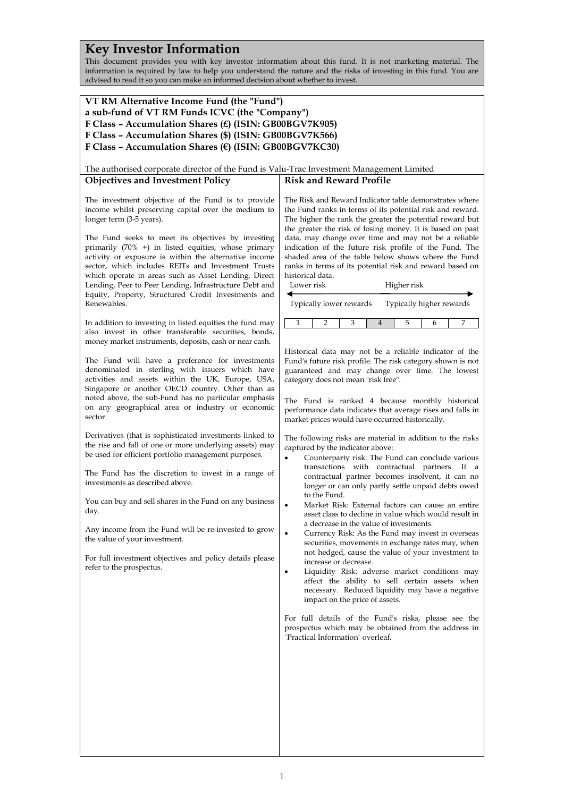## **Key Investor Information**

This document provides you with key investor information about this fund. It is not marketing material. The information is required by law to help you understand the nature and the risks of investing in this fund. You are advised to read it so you can make an informed decision about whether to invest.

### **VT RM Alternative Income Fund (the "Fund") a sub-fund of VT RM Funds ICVC (the "Company") F Class – Accumulation Shares (£) (ISIN: GB00BGV7K905) F Class – Accumulation Shares (\$) (ISIN: GB00BGV7K566) F Class – Accumulation Shares (€) (ISIN: GB00BGV7KC30)**

The authorised corporate director of the Fund is Valu-Trac Investment Management Limited

### **Objectives and Investment Policy**

The investment objective of the Fund is to provide income whilst preserving capital over the medium to longer term (3-5 years).

The Fund seeks to meet its objectives by investing primarily (70% +) in listed equities, whose primary activity or exposure is within the alternative income sector, which includes REITs and Investment Trusts which operate in areas such as Asset Lending, Direct Lending, Peer to Peer Lending, Infrastructure Debt and Equity, Property, Structured Credit Investments and Renewables.

In addition to investing in listed equities the fund may also invest in other transferable securities, bonds, money market instruments, deposits, cash or near cash.

The Fund will have a preference for investments denominated in sterling with issuers which have activities and assets within the UK, Europe, USA, Singapore or another OECD country. Other than as noted above, the sub-Fund has no particular emphasis on any geographical area or industry or economic sector.

Derivatives (that is sophisticated investments linked to the rise and fall of one or more underlying assets) may be used for efficient portfolio management purposes.

The Fund has the discretion to invest in a range of investments as described above.

You can buy and sell shares in the Fund on any business day.

Any income from the Fund will be re-invested to grow the value of your investment.

For full investment objectives and policy details please refer to the prospectus.

The Risk and Reward Indicator table demonstrates where the Fund ranks in terms of its potential risk and reward. The higher the rank the greater the potential reward but the greater the risk of losing money. It is based on past data, may change over time and may not be a reliable indication of the future risk profile of the Fund. The shaded area of the table below shows where the Fund ranks in terms of its potential risk and reward based on historical data.

**Risk and Reward Profile**

| Lower risk              | Higher risk              |
|-------------------------|--------------------------|
| Typically lower rewards | Typically higher rewards |

1 2 3 4 5 6 7

Historical data may not be a reliable indicator of the Fund's future risk profile. The risk category shown is not guaranteed and may change over time. The lowest category does not mean "risk free".

The Fund is ranked 4 because monthly historical performance data indicates that average rises and falls in market prices would have occurred historically.

The following risks are material in addition to the risks captured by the indicator above:

- Counterparty risk: The Fund can conclude various transactions with contractual partners. If a contractual partner becomes insolvent, it can no longer or can only partly settle unpaid debts owed to the Fund.
- Market Risk: External factors can cause an entire asset class to decline in value which would result in a decrease in the value of investments.
- Currency Risk: As the Fund may invest in overseas securities, movements in exchange rates may, when not hedged, cause the value of your investment to increase or decrease.
- Liquidity Risk: adverse market conditions may affect the ability to sell certain assets when necessary. Reduced liquidity may have a negative impact on the price of assets.

For full details of the Fund's risks, please see the prospectus which may be obtained from the address in `Practical Information` overleaf.